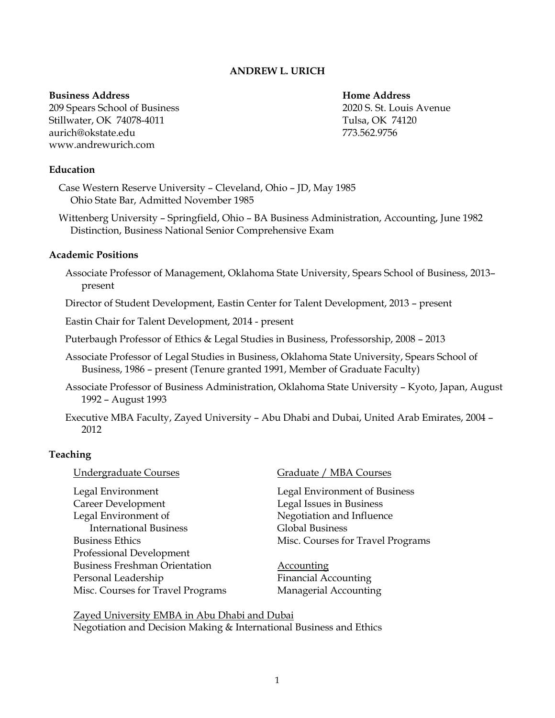# **ANDREW L. URICH**

#### **Business Address Home Address**

209 Spears School of Business 2020 S. St. Louis Avenue Stillwater, OK 74078-4011 Tulsa, OK 74120 aurich@okstate.edu 773.562.9756 www.andrewurich.com

## **Education**

Case Western Reserve University – Cleveland, Ohio – JD, May 1985 Ohio State Bar, Admitted November 1985

Wittenberg University – Springfield, Ohio – BA Business Administration, Accounting, June 1982 Distinction, Business National Senior Comprehensive Exam

## **Academic Positions**

Associate Professor of Management, Oklahoma State University, Spears School of Business, 2013– present

Director of Student Development, Eastin Center for Talent Development, 2013 – present

Eastin Chair for Talent Development, 2014 - present

Puterbaugh Professor of Ethics & Legal Studies in Business, Professorship, 2008 – 2013

- Associate Professor of Legal Studies in Business, Oklahoma State University, Spears School of Business, 1986 – present (Tenure granted 1991, Member of Graduate Faculty)
- Associate Professor of Business Administration, Oklahoma State University Kyoto, Japan, August 1992 – August 1993
- Executive MBA Faculty, Zayed University Abu Dhabi and Dubai, United Arab Emirates, 2004 2012

### **Teaching**

Legal Environment Legal Environment of Business Career Development Legal Issues in Business Legal Environment of Negotiation and Influence International Business Global Business Business Ethics Misc. Courses for Travel Programs Professional Development Business Freshman Orientation Accounting Personal Leadership Financial Accounting Misc. Courses for Travel Programs Managerial Accounting

### Undergraduate Courses Graduate / MBA Courses

Zayed University EMBA in Abu Dhabi and Dubai Negotiation and Decision Making & International Business and Ethics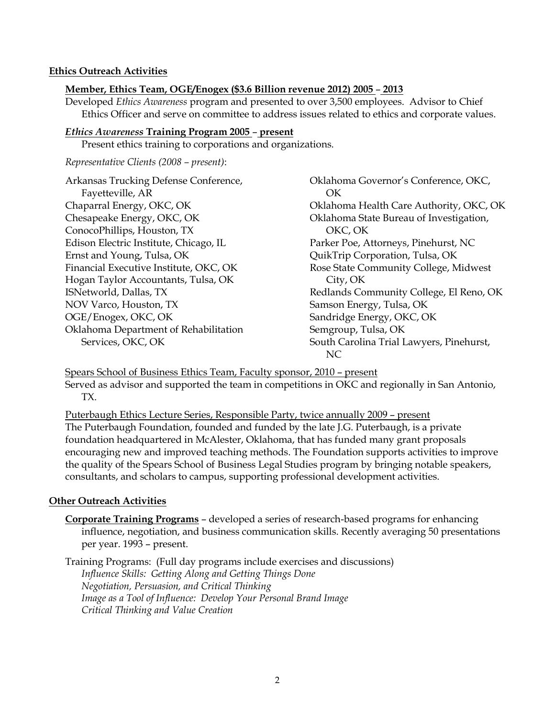## **Ethics Outreach Activities**

## **Member, Ethics Team, OGE/Enogex (\$3.6 Billion revenue 2012) 2005** – **2013**

Developed *Ethics Awareness* program and presented to over 3,500 employees. Advisor to Chief Ethics Officer and serve on committee to address issues related to ethics and corporate values.

### *Ethics Awareness* **Training Program 2005** – **present**

Present ethics training to corporations and organizations.

#### *Representative Clients (2008 – present)*:

Arkansas Trucking Defense Conference, Fayetteville, AR Chaparral Energy, OKC, OK Chesapeake Energy, OKC, OK ConocoPhillips, Houston, TX Edison Electric Institute, Chicago, IL Ernst and Young, Tulsa, OK Financial Executive Institute, OKC, OK Hogan Taylor Accountants, Tulsa, OK ISNetworld, Dallas, TX NOV Varco, Houston, TX OGE/Enogex, OKC, OK Oklahoma Department of Rehabilitation Services, OKC, OK

Oklahoma Governor's Conference, OKC, OK Oklahoma Health Care Authority, OKC, OK Oklahoma State Bureau of Investigation, OKC, OK Parker Poe, Attorneys, Pinehurst, NC QuikTrip Corporation, Tulsa, OK Rose State Community College, Midwest City, OK Redlands Community College, El Reno, OK Samson Energy, Tulsa, OK Sandridge Energy, OKC, OK Semgroup, Tulsa, OK South Carolina Trial Lawyers, Pinehurst, NC

Spears School of Business Ethics Team, Faculty sponsor, 2010 – present Served as advisor and supported the team in competitions in OKC and regionally in San Antonio, TX.

Puterbaugh Ethics Lecture Series, Responsible Party, twice annually 2009 – present The Puterbaugh Foundation, founded and funded by the late J.G. Puterbaugh, is a private foundation headquartered in McAlester, Oklahoma, that has funded many grant proposals encouraging new and improved teaching methods. The Foundation supports activities to improve the quality of the Spears School of Business Legal Studies program by bringing notable speakers, consultants, and scholars to campus, supporting professional development activities.

### **Other Outreach Activities**

**Corporate Training Programs** – developed a series of research-based programs for enhancing influence, negotiation, and business communication skills. Recently averaging 50 presentations per year. 1993 – present.

Training Programs: (Full day programs include exercises and discussions) *Influence Skills: Getting Along and Getting Things Done Negotiation, Persuasion, and Critical Thinking Image as a Tool of Influence: Develop Your Personal Brand Image Critical Thinking and Value Creation*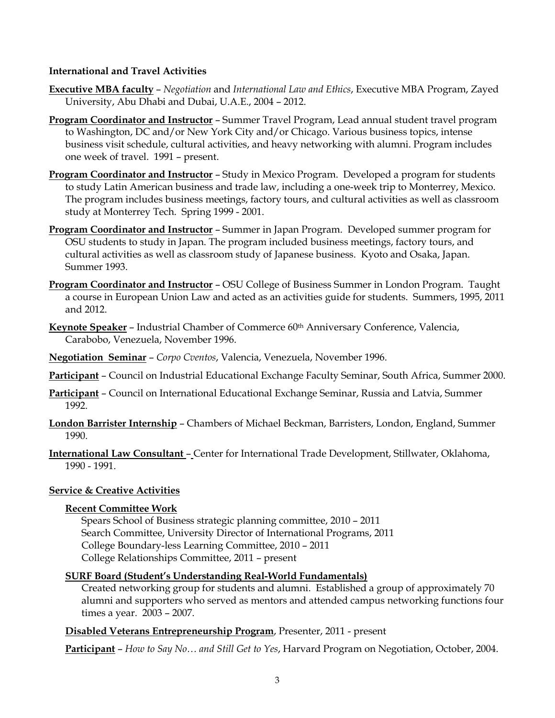## **International and Travel Activities**

- **Executive MBA faculty** *Negotiation* and *International Law and Ethics*, Executive MBA Program, Zayed University, Abu Dhabi and Dubai, U.A.E., 2004 – 2012.
- **Program Coordinator and Instructor** Summer Travel Program, Lead annual student travel program to Washington, DC and/or New York City and/or Chicago. Various business topics, intense business visit schedule, cultural activities, and heavy networking with alumni. Program includes one week of travel. 1991 – present.
- **Program Coordinator and Instructor** Study in Mexico Program. Developed a program for students to study Latin American business and trade law, including a one-week trip to Monterrey, Mexico. The program includes business meetings, factory tours, and cultural activities as well as classroom study at Monterrey Tech. Spring 1999 - 2001.
- **Program Coordinator and Instructor** Summer in Japan Program. Developed summer program for OSU students to study in Japan. The program included business meetings, factory tours, and cultural activities as well as classroom study of Japanese business. Kyoto and Osaka, Japan. Summer 1993.
- **Program Coordinator and Instructor** OSU College of Business Summer in London Program. Taught a course in European Union Law and acted as an activities guide for students. Summers, 1995, 2011 and 2012.
- **Keynote Speaker** Industrial Chamber of Commerce 60<sup>th</sup> Anniversary Conference, Valencia, Carabobo, Venezuela, November 1996.
- **Negotiation Seminar** *Corpo Cventos*, Valencia, Venezuela, November 1996.
- **Participant** Council on Industrial Educational Exchange Faculty Seminar, South Africa, Summer 2000.
- **Participant** Council on International Educational Exchange Seminar, Russia and Latvia, Summer 1992.
- **London Barrister Internship** Chambers of Michael Beckman, Barristers, London, England, Summer 1990.
- **International Law Consultant**  Center for International Trade Development, Stillwater, Oklahoma, 1990 - 1991.

# **Service & Creative Activities**

# **Recent Committee Work**

Spears School of Business strategic planning committee, 2010 – 2011 Search Committee, University Director of International Programs, 2011 College Boundary-less Learning Committee, 2010 – 2011 College Relationships Committee, 2011 – present

# **SURF Board (Student's Understanding Real-World Fundamentals)**

Created networking group for students and alumni. Established a group of approximately 70 alumni and supporters who served as mentors and attended campus networking functions four times a year. 2003 – 2007.

# **Disabled Veterans Entrepreneurship Program**, Presenter, 2011 - present

**Participant** – *How to Say No… and Still Get to Yes*, Harvard Program on Negotiation, October, 2004.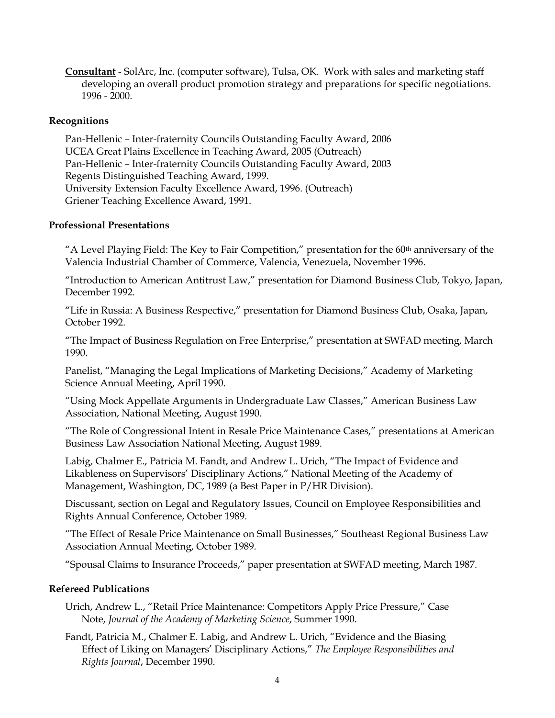**Consultant** - SolArc, Inc. (computer software), Tulsa, OK. Work with sales and marketing staff developing an overall product promotion strategy and preparations for specific negotiations. 1996 - 2000.

# **Recognitions**

Pan-Hellenic – Inter-fraternity Councils Outstanding Faculty Award, 2006 UCEA Great Plains Excellence in Teaching Award, 2005 (Outreach) Pan-Hellenic – Inter-fraternity Councils Outstanding Faculty Award, 2003 Regents Distinguished Teaching Award, 1999. University Extension Faculty Excellence Award, 1996. (Outreach) Griener Teaching Excellence Award, 1991.

## **Professional Presentations**

"A Level Playing Field: The Key to Fair Competition," presentation for the 60th anniversary of the Valencia Industrial Chamber of Commerce, Valencia, Venezuela, November 1996.

"Introduction to American Antitrust Law," presentation for Diamond Business Club, Tokyo, Japan, December 1992.

"Life in Russia: A Business Respective," presentation for Diamond Business Club, Osaka, Japan, October 1992.

"The Impact of Business Regulation on Free Enterprise," presentation at SWFAD meeting, March 1990.

Panelist, "Managing the Legal Implications of Marketing Decisions," Academy of Marketing Science Annual Meeting, April 1990.

"Using Mock Appellate Arguments in Undergraduate Law Classes," American Business Law Association, National Meeting, August 1990.

"The Role of Congressional Intent in Resale Price Maintenance Cases," presentations at American Business Law Association National Meeting, August 1989.

Labig, Chalmer E., Patricia M. Fandt, and Andrew L. Urich, "The Impact of Evidence and Likableness on Supervisors' Disciplinary Actions," National Meeting of the Academy of Management, Washington, DC, 1989 (a Best Paper in P/HR Division).

Discussant, section on Legal and Regulatory Issues, Council on Employee Responsibilities and Rights Annual Conference, October 1989.

"The Effect of Resale Price Maintenance on Small Businesses," Southeast Regional Business Law Association Annual Meeting, October 1989.

"Spousal Claims to Insurance Proceeds," paper presentation at SWFAD meeting, March 1987.

## **Refereed Publications**

Urich, Andrew L., "Retail Price Maintenance: Competitors Apply Price Pressure," Case Note, *Journal of the Academy of Marketing Science*, Summer 1990.

Fandt, Patricia M., Chalmer E. Labig, and Andrew L. Urich, "Evidence and the Biasing Effect of Liking on Managers' Disciplinary Actions," *The Employee Responsibilities and Rights Journal*, December 1990.